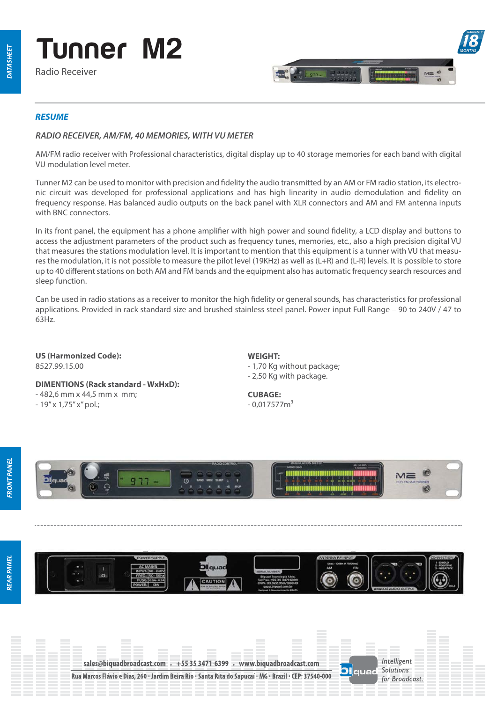

Radio Receiver



# *RESUME*

# *RADIO RECEIVER, AM/FM, 40 MEMORIES, WITH VU METER*

AM/FM radio receiver with Professional characteristics, digital display up to 40 storage memories for each band with digital VU modulation level meter.

Tunner M2 can be used to monitor with precision and fidelity the audio transmitted by an AM or FM radio station, its electronic circuit was developed for professional applications and has high linearity in audio demodulation and delity on frequency response. Has balanced audio outputs on the back panel with XLR connectors and AM and FM antenna inputs with BNC connectors.

In its front panel, the equipment has a phone amplifier with high power and sound fidelity, a LCD display and buttons to access the adjustment parameters of the product such as frequency tunes, memories, etc., also a high precision digital VU that measures the stations modulation level. It is important to mention that this equipment is a tunner with VU that measures the modulation, it is not possible to measure the pilot level (19KHz) as well as (L+R) and (L-R) levels. It is possible to store up to 40 different stations on both AM and FM bands and the equipment also has automatic frequency search resources and sleep function.

Can be used in radio stations as a receiver to monitor the high fidelity or general sounds, has characteristics for professional applications. Provided in rack standard size and brushed stainless steel panel. Power input Full Range – 90 to 240V / 47 to 63Hz.

**US (Harmonized Code):**  8527.99.15.00

**DIMENTIONS (Rack standard - WxHxD):** - 482,6 mm x 44,5 mm x mm; - 19" x 1,75" x" pol.;

**WEIGHT:** - 1,70 Kg without package; - 2,50 Kg with package.

**CUBAGE:**  $-0,017577m<sup>3</sup>$ 





**IEAR PANEL** 



Olquar